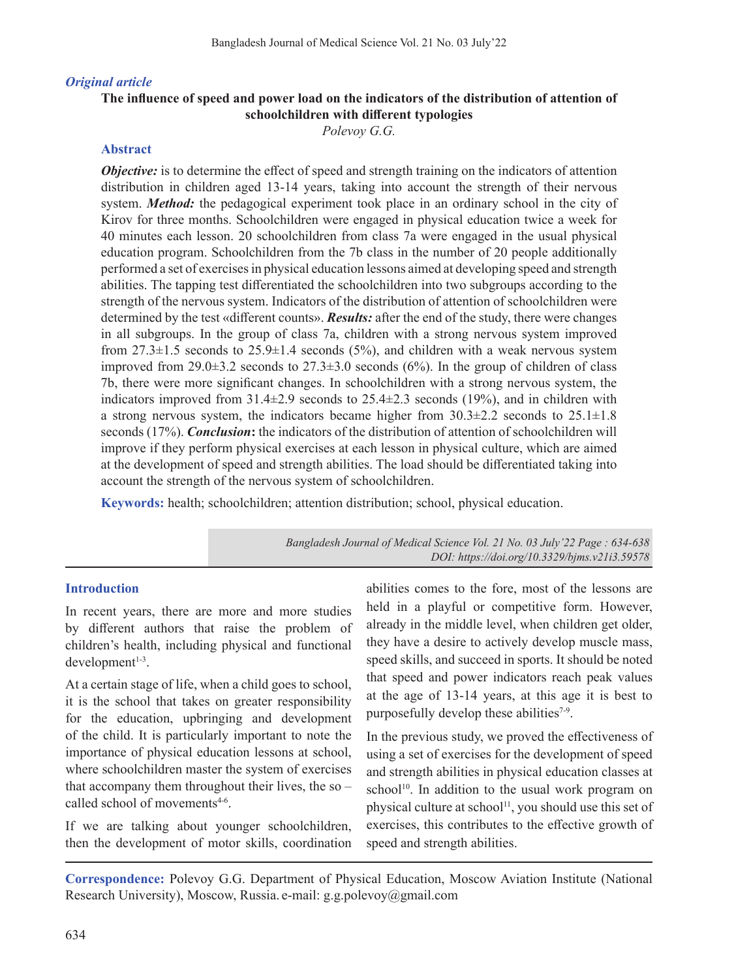#### *Original article*

# **The influence of speed and power load on the indicators of the distribution of attention of schoolchildren with different typologies**

*Polevoy G.G.*

### **Abstract**

*Objective:* is to determine the effect of speed and strength training on the indicators of attention distribution in children aged 13-14 years, taking into account the strength of their nervous system. *Method:* the pedagogical experiment took place in an ordinary school in the city of Kirov for three months. Schoolchildren were engaged in physical education twice a week for 40 minutes each lesson. 20 schoolchildren from class 7a were engaged in the usual physical education program. Schoolchildren from the 7b class in the number of 20 people additionally performed a set of exercisesin physical education lessons aimed at developing speed and strength abilities. The tapping test differentiated the schoolchildren into two subgroups according to the strength of the nervous system. Indicators of the distribution of attention of schoolchildren were determined by the test «different counts». *Results:* after the end of the study, there were changes in all subgroups. In the group of class 7a, children with a strong nervous system improved from  $27.3\pm1.5$  seconds to  $25.9\pm1.4$  seconds  $(5\%)$ , and children with a weak nervous system improved from 29.0 $\pm$ 3.2 seconds to 27.3 $\pm$ 3.0 seconds (6%). In the group of children of class 7b, there were more significant changes. In schoolchildren with a strong nervous system, the indicators improved from  $31.4\pm2.9$  seconds to  $25.4\pm2.3$  seconds (19%), and in children with a strong nervous system, the indicators became higher from  $30.3\pm2.2$  seconds to  $25.1\pm1.8$ seconds (17%). *Conclusion***:** the indicators of the distribution of attention of schoolchildren will improve if they perform physical exercises at each lesson in physical culture, which are aimed at the development of speed and strength abilities. The load should be differentiated taking into account the strength of the nervous system of schoolchildren.

**Keywords:** health; schoolchildren; attention distribution; school, physical education.

*Bangladesh Journal of Medical Science Vol. 21 No. 03 July'22 Page : 634-638 DOI: https://doi.org/10.3329/bjms.v21i3.59578*

#### **Introduction**

In recent years, there are more and more studies by different authors that raise the problem of children's health, including physical and functional  $development<sup>1-3</sup>$ .

At a certain stage of life, when a child goes to school, it is the school that takes on greater responsibility for the education, upbringing and development of the child. It is particularly important to note the importance of physical education lessons at school, where schoolchildren master the system of exercises that accompany them throughout their lives, the so – called school of movements<sup>4-6</sup>.

If we are talking about younger schoolchildren, then the development of motor skills, coordination abilities comes to the fore, most of the lessons are held in a playful or competitive form. However, already in the middle level, when children get older, they have a desire to actively develop muscle mass, speed skills, and succeed in sports. It should be noted that speed and power indicators reach peak values at the age of 13-14 years, at this age it is best to purposefully develop these abilities<sup>7-9</sup>.

In the previous study, we proved the effectiveness of using a set of exercises for the development of speed and strength abilities in physical education classes at  $school<sup>10</sup>$ . In addition to the usual work program on physical culture at school<sup>11</sup>, you should use this set of exercises, this contributes to the effective growth of speed and strength abilities.

**Correspondence:** Polevoy G.G. Department of Physical Education, Moscow Aviation Institute (National Research University), Moscow, Russia. e-mail: g.g.polevoy@gmail.com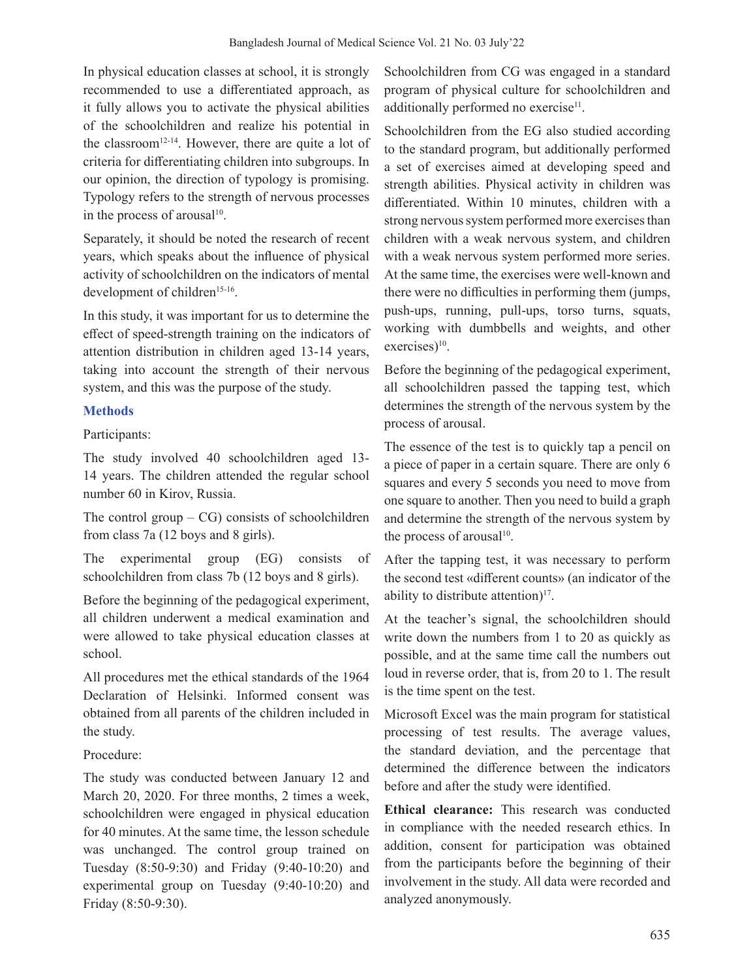In physical education classes at school, it is strongly recommended to use a differentiated approach, as it fully allows you to activate the physical abilities of the schoolchildren and realize his potential in the classroom<sup>12-14</sup>. However, there are quite a lot of criteria for differentiating children into subgroups. In our opinion, the direction of typology is promising. Typology refers to the strength of nervous processes in the process of arousal $10$ .

Separately, it should be noted the research of recent years, which speaks about the influence of physical activity of schoolchildren on the indicators of mental development of children<sup>15-16</sup>.

In this study, it was important for us to determine the effect of speed-strength training on the indicators of attention distribution in children aged 13-14 years, taking into account the strength of their nervous system, and this was the purpose of the study.

# **Methods**

Participants:

The study involved 40 schoolchildren aged 13- 14 years. The children attended the regular school number 60 in Kirov, Russia.

The control group  $-{\rm CG}$ ) consists of schoolchildren from class 7a (12 boys and 8 girls).

The experimental group (EG) consists of schoolchildren from class 7b (12 boys and 8 girls).

Before the beginning of the pedagogical experiment, all children underwent a medical examination and were allowed to take physical education classes at school.

All procedures met the ethical standards of the 1964 Declaration of Helsinki. Informed consent was obtained from all parents of the children included in the study.

Procedure:

The study was conducted between January 12 and March 20, 2020. For three months, 2 times a week, schoolchildren were engaged in physical education for 40 minutes. At the same time, the lesson schedule was unchanged. The control group trained on Tuesday (8:50-9:30) and Friday (9:40-10:20) and experimental group on Tuesday (9:40-10:20) and Friday (8:50-9:30).

Schoolchildren from CG was engaged in a standard program of physical culture for schoolchildren and additionally performed no exercise<sup>11</sup>.

Schoolchildren from the EG also studied according to the standard program, but additionally performed a set of exercises aimed at developing speed and strength abilities. Physical activity in children was differentiated. Within 10 minutes, children with a strong nervous system performed more exercises than children with a weak nervous system, and children with a weak nervous system performed more series. At the same time, the exercises were well-known and there were no difficulties in performing them (jumps, push-ups, running, pull-ups, torso turns, squats, working with dumbbells and weights, and other exercises)<sup>10</sup>.

Before the beginning of the pedagogical experiment, all schoolchildren passed the tapping test, which determines the strength of the nervous system by the process of arousal.

The essence of the test is to quickly tap a pencil on a piece of paper in a certain square. There are only 6 squares and every 5 seconds you need to move from one square to another. Then you need to build a graph and determine the strength of the nervous system by the process of arousal $10$ .

After the tapping test, it was necessary to perform the second test «different counts» (an indicator of the ability to distribute attention) $17$ .

At the teacher's signal, the schoolchildren should write down the numbers from 1 to 20 as quickly as possible, and at the same time call the numbers out loud in reverse order, that is, from 20 to 1. The result is the time spent on the test.

Microsoft Excel was the main program for statistical processing of test results. The average values, the standard deviation, and the percentage that determined the difference between the indicators before and after the study were identified.

**Ethical clearance:** This research was conducted in compliance with the needed research ethics. In addition, consent for participation was obtained from the participants before the beginning of their involvement in the study. All data were recorded and analyzed anonymously.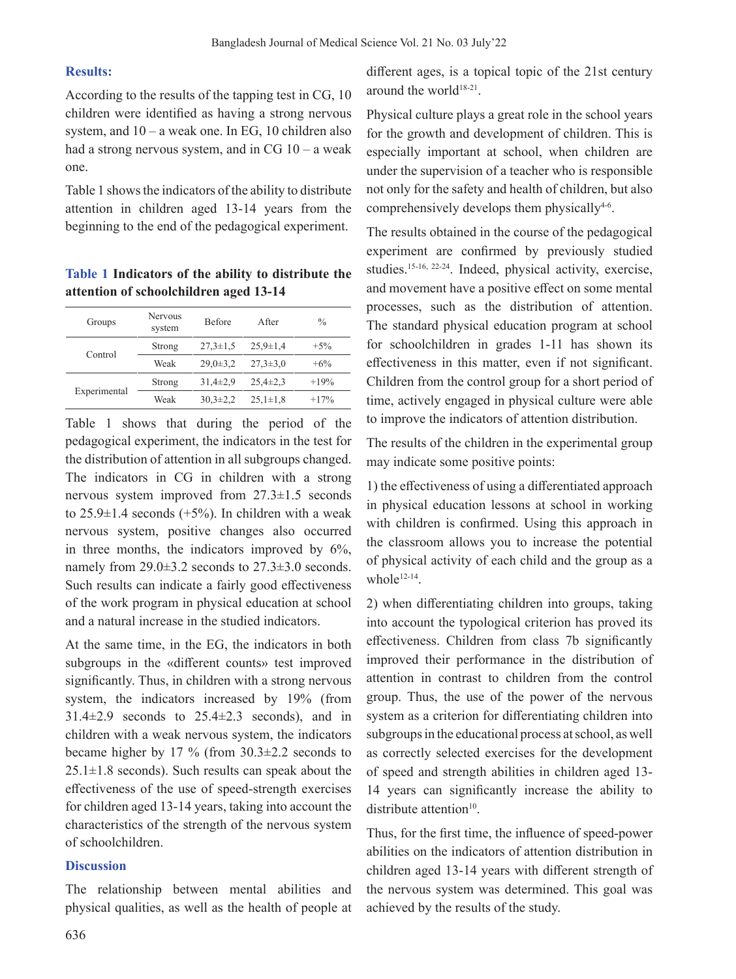## **Results:**

According to the results of the tapping test in CG, 10 children were identified as having a strong nervous system, and  $10 - a$  weak one. In EG, 10 children also had a strong nervous system, and in  $CG 10 - a$  weak one.

Table 1 shows the indicators of the ability to distribute attention in children aged 13-14 years from the beginning to the end of the pedagogical experiment.

**Table 1 Indicators of the ability to distribute the attention of schoolchildren aged 13-14**

| Groups       | <b>Nervous</b><br>system | <b>Before</b>  | A fter         | $\frac{0}{0}$ |
|--------------|--------------------------|----------------|----------------|---------------|
| Control      | Strong                   | $27.3 \pm 1.5$ | $25.9 \pm 1.4$ | $+5%$         |
|              | Weak                     | $29.0 \pm 3.2$ | $27.3 \pm 3.0$ | $+6\%$        |
| Experimental | Strong                   | $31.4 \pm 2.9$ | $25.4 \pm 2.3$ | $+19%$        |
|              | Weak                     | $30.3 \pm 2.2$ | $25.1 \pm 1.8$ | $+17%$        |

Table 1 shows that during the period of the pedagogical experiment, the indicators in the test for the distribution of attention in all subgroups changed. The indicators in CG in children with a strong nervous system improved from 27.3±1.5 seconds to  $25.9\pm1.4$  seconds (+5%). In children with a weak nervous system, positive changes also occurred in three months, the indicators improved by 6%, namely from 29.0±3.2 seconds to 27.3±3.0 seconds. Such results can indicate a fairly good effectiveness of the work program in physical education at school and a natural increase in the studied indicators.

At the same time, in the EG, the indicators in both subgroups in the «different counts» test improved significantly. Thus, in children with a strong nervous system, the indicators increased by 19% (from  $31.4\pm2.9$  seconds to  $25.4\pm2.3$  seconds), and in children with a weak nervous system, the indicators became higher by 17 % (from 30.3±2.2 seconds to  $25.1 \pm 1.8$  seconds). Such results can speak about the effectiveness of the use of speed-strength exercises for children aged 13-14 years, taking into account the characteristics of the strength of the nervous system of schoolchildren.

## **Discussion**

The relationship between mental abilities and physical qualities, as well as the health of people at different ages, is a topical topic of the 21st century around the world<sup>18-21</sup>.

Physical culture plays a great role in the school years for the growth and development of children. This is especially important at school, when children are under the supervision of a teacher who is responsible not only for the safety and health of children, but also comprehensively develops them physically<sup>4-6</sup>.

The results obtained in the course of the pedagogical experiment are confirmed by previously studied studies.15-16, 22-24. Indeed, physical activity, exercise, and movement have a positive effect on some mental processes, such as the distribution of attention. The standard physical education program at school for schoolchildren in grades 1-11 has shown its effectiveness in this matter, even if not significant. Children from the control group for a short period of time, actively engaged in physical culture were able to improve the indicators of attention distribution.

The results of the children in the experimental group may indicate some positive points:

1) the effectiveness of using a differentiated approach in physical education lessons at school in working with children is confirmed. Using this approach in the classroom allows you to increase the potential of physical activity of each child and the group as a whole<sup>12-14</sup>.

2) when differentiating children into groups, taking into account the typological criterion has proved its effectiveness. Children from class 7b significantly improved their performance in the distribution of attention in contrast to children from the control group. Thus, the use of the power of the nervous system as a criterion for differentiating children into subgroups in the educational process at school, as well as correctly selected exercises for the development of speed and strength abilities in children aged 13- 14 years can significantly increase the ability to distribute attention $10$ .

Thus, for the first time, the influence of speed-power abilities on the indicators of attention distribution in children aged 13-14 years with different strength of the nervous system was determined. This goal was achieved by the results of the study.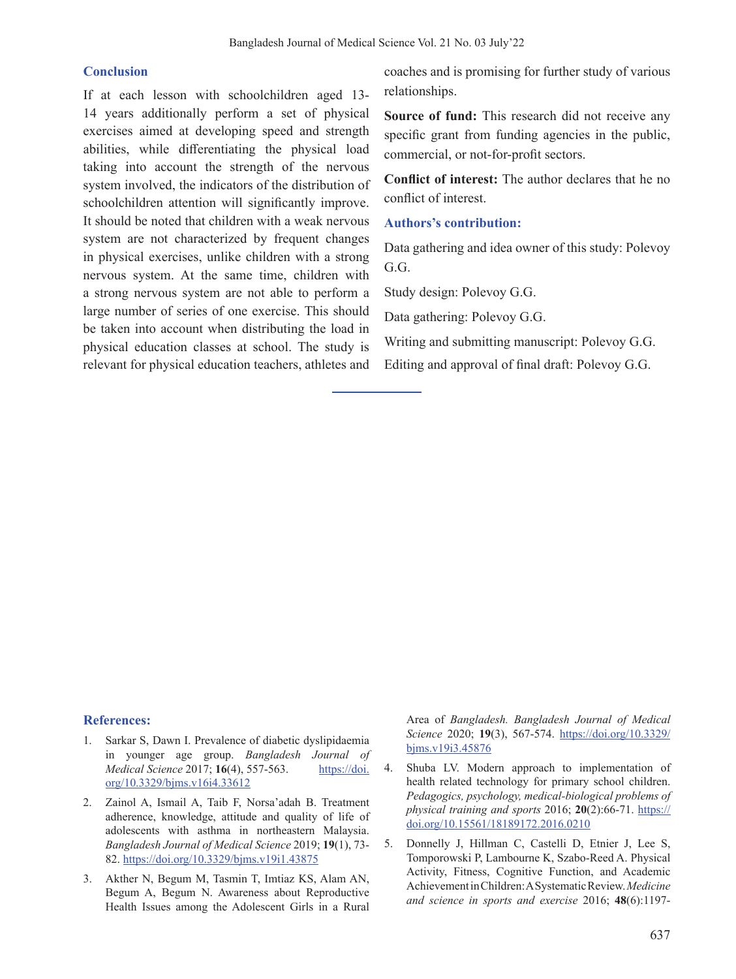#### **Conclusion**

If at each lesson with schoolchildren aged 13- 14 years additionally perform a set of physical exercises aimed at developing speed and strength abilities, while differentiating the physical load taking into account the strength of the nervous system involved, the indicators of the distribution of schoolchildren attention will significantly improve. It should be noted that children with a weak nervous system are not characterized by frequent changes in physical exercises, unlike children with a strong nervous system. At the same time, children with a strong nervous system are not able to perform a large number of series of one exercise. This should be taken into account when distributing the load in physical education classes at school. The study is relevant for physical education teachers, athletes and

coaches and is promising for further study of various relationships.

**Source of fund:** This research did not receive any specific grant from funding agencies in the public, commercial, or not-for-profit sectors.

**Conflict of interest:** The author declares that he no conflict of interest.

## **Authors's contribution:**

Data gathering and idea owner of this study: Polevoy G.G.

Study design: Polevoy G.G.

Data gathering: Polevoy G.G.

Writing and submitting manuscript: Polevoy G.G.

Editing and approval of final draft: Polevoy G.G.

#### **References:**

- Sarkar S, Dawn I. Prevalence of diabetic dyslipidaemia in younger age group. *Bangladesh Journal of Medical Science* 2017; **16**(4), 557-563. https://doi. org/10.3329/bjms.v16i4.33612
- 2. Zainol A, Ismail A, Taib F, Norsa'adah B. Treatment adherence, knowledge, attitude and quality of life of adolescents with asthma in northeastern Malaysia. *Bangladesh Journal of Medical Science* 2019; **19**(1), 73- 82. https://doi.org/10.3329/bjms.v19i1.43875
- 3. Akther N, Begum M, Tasmin T, Imtiaz KS, Alam AN, Begum A, Begum N. Awareness about Reproductive Health Issues among the Adolescent Girls in a Rural

Area of *Bangladesh. Bangladesh Journal of Medical Science* 2020; **19**(3), 567-574. https://doi.org/10.3329/ bjms.v19i3.45876

- 4. Shuba LV. Modern approach to implementation of health related technology for primary school children. *Pedagogics, psychology, medical-biological problems of physical training and sports* 2016; **20**(2):66-71. https:// doi.org/10.15561/18189172.2016.0210
- 5. Donnelly J, Hillman C, Castelli D, Etnier J, Lee S, Tomporowski P, Lambourne K, Szabo-Reed A. Physical Activity, Fitness, Cognitive Function, and Academic AchievementinChildren:ASystematicReview.*Medicine and science in sports and exercise* 2016; **48**(6):1197-